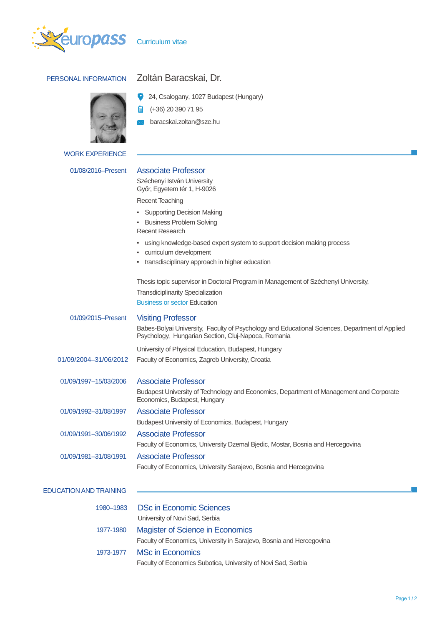

# PERSONAL INFORMATION Zoltán Baracskai, Dr.



### WORK EXPERIENCE

| 01/08/2016–Present |
|--------------------|
|--------------------|

24, Csalogany, 1027 Budapest (Hungary) ۰

畠 (+36) 20 390 71 95

 baracskai.zoltan@sze.hu N.Z.

## Associate Professor

Széchenyi István University Győr, Egyetem tér 1, H-9026

Recent Teaching

- Supporting Decision Making
- Business Problem Solving
- Recent Research
- using knowledge-based expert system to support decision making process
- curriculum development
- transdisciplinary approach in higher education

Thesis topic supervisor in Doctoral Program in Management of Széchenyi University, Transdiciplinarity Specialization Business or sector Education

| 01/09/2015-Present            | <b>Visiting Professor</b>                                                                                                                             |
|-------------------------------|-------------------------------------------------------------------------------------------------------------------------------------------------------|
|                               | Babes-Bolyai University, Faculty of Psychology and Educational Sciences, Department of Applied<br>Psychology, Hungarian Section, Cluj-Napoca, Romania |
|                               | University of Physical Education, Budapest, Hungary                                                                                                   |
| 01/09/2004-31/06/2012         | Faculty of Economics, Zagreb University, Croatia                                                                                                      |
| 01/09/1997-15/03/2006         | <b>Associate Professor</b>                                                                                                                            |
|                               | Budapest University of Technology and Economics, Department of Management and Corporate<br>Economics, Budapest, Hungary                               |
| 01/09/1992-31/08/1997         | <b>Associate Professor</b>                                                                                                                            |
|                               | Budapest University of Economics, Budapest, Hungary                                                                                                   |
| 01/09/1991-30/06/1992         | <b>Associate Professor</b>                                                                                                                            |
|                               | Faculty of Economics, University Dzemal Bjedic, Mostar, Bosnia and Hercegovina                                                                        |
| 01/09/1981-31/08/1991         | Associate Professor                                                                                                                                   |
|                               | Faculty of Economics, University Sarajevo, Bosnia and Hercegovina                                                                                     |
| <b>EDUCATION AND TRAINING</b> |                                                                                                                                                       |
|                               |                                                                                                                                                       |
|                               |                                                                                                                                                       |

| 1980-1983 | <b>DSc in Economic Sciences</b>                                      |
|-----------|----------------------------------------------------------------------|
|           | University of Novi Sad, Serbia                                       |
| 1977-1980 | <b>Magister of Science in Economics</b>                              |
|           | Faculty of Economics, University in Sarajevo, Bosnia and Hercegovina |
| 1973-1977 | <b>MSc in Economics</b>                                              |
|           | Faculty of Economics Subotica, University of Novi Sad, Serbia        |